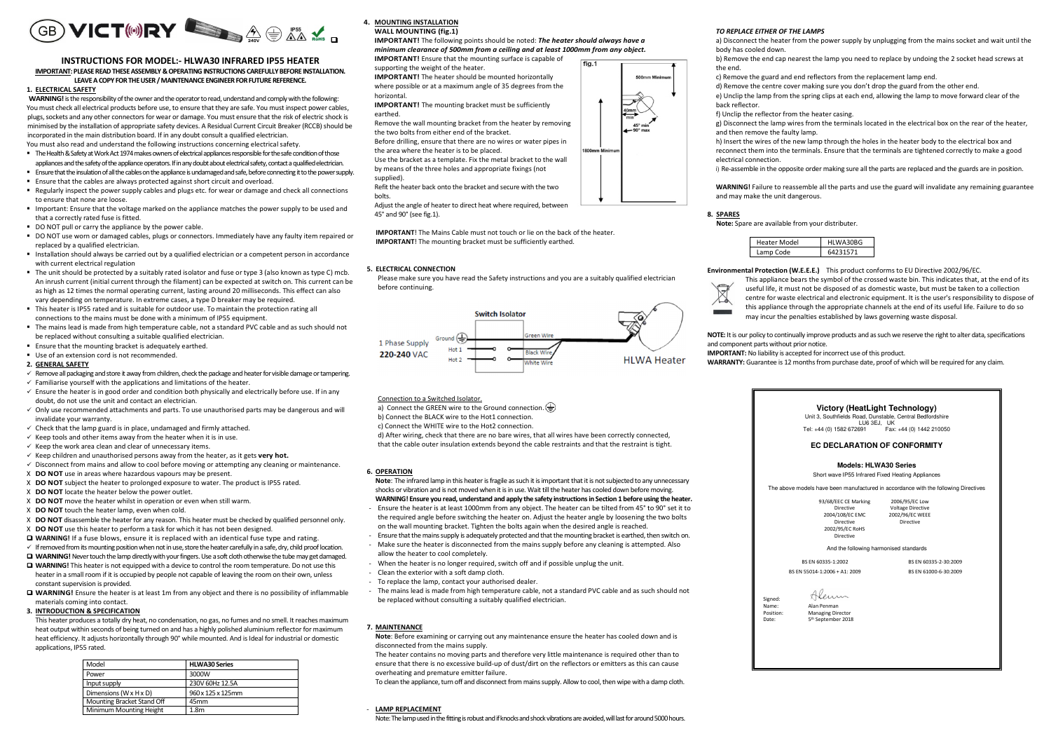

#### **INSTRUCTIONS FOR MODEL:- HLWA30 INFRARED IP55 HEATER IMPORTANT: PLEASE READ THESE ASSEMBLY & OPERATING INSTRUCTIONS CAREFULLY BEFORE INSTALLATION. LEAVE A COPY FOR THE USER / MAINTENANCE ENGINEER FOR FUTURE REFERENCE.**

#### **1. ELECTRICAL SAFETY**

**WARNING!** is the responsibility of the owner and the operator to read, understand and comply with the following: You must check all electrical products before use, to ensure that they are safe. You must inspect power cables, plugs, sockets and any other connectors for wear or damage. You must ensure that the risk of electric shock is minimised by the installation of appropriate safety devices. A Residual Current Circuit Breaker (RCCB) should be incorporated in the main distribution board. If in any doubt consult a qualified electrician.

- You must also read and understand the following instructions concerning electrical safety.
- The Health & Safety at Work Act 1974 makes owners of electrical appliances responsible for the safe condition of those appliances and the safety of the appliance operators. If in any doubt about electrical safety, contact a qualified electrician.
- Ensure that the insulation of all the cables on the appliance is undamaged and safe, before connecting it to the power supply.
- Ensure that the cables are always protected against short circuit and overload.
- Regularly inspect the power supply cables and plugs etc. for wear or damage and check all connections to ensure that none are loose.
- **Important: Ensure that the voltage marked on the appliance matches the power supply to be used and** that a correctly rated fuse is fitted.
- DO NOT pull or carry the appliance by the power cable.
- DO NOT use worn or damaged cables, plugs or connectors. Immediately have any faulty item repaired or replaced by a qualified electrician.
- Installation should always be carried out by a qualified electrician or a competent person in accordance with current electrical regulation
- The unit should be protected by a suitably rated isolator and fuse or type 3 (also known as type C) mcb. An inrush current (initial current through the filament) can be expected at switch on. This current can be as high as 12 times the normal operating current, lasting around 20 milliseconds. This effect can alsovary depending on temperature. In extreme cases, a type D breaker may be required.
- This heater is IP55 rated and is suitable for outdoor use. To maintain the protection rating all connections to the mains must be done with a minimum of IP55 equipment.
- The mains lead is made from high temperature cable, not a standard PVC cable and as such should not be replaced without consulting a suitable qualified electrician.
- Ensure that the mounting bracket is adequately earthed.
- Use of an extension cord is not recommended.

#### **2. GENERAL SAFETY**

- Remove all packaging and store it away from children, check the package and heater for visible damage or tampering.
- $\checkmark$  Familiarise yourself with the applications and limitations of the heater.
- $\checkmark$  Ensure the heater is in good order and condition both physically and electrically before use. If in any doubt, do not use the unit and contact an electrician.
- Only use recommended attachments and parts. To use unauthorised parts may be dangerous and will invalidate your warranty.
- $\checkmark$  Check that the lamp guard is in place, undamaged and firmly attached.
- $\times$  Keep tools and other items away from the heater when it is in use.
- $\checkmark$  Keep the work area clean and clear of unnecessary items.
- $\times$  Keep children and unauthorised persons away from the heater, as it gets **very hot.**
- $\checkmark$  Disconnect from mains and allow to cool before moving or attempting any cleaning or maintenance.
- X **DO NOT** use in areas where hazardous vapours may be present.
- X **DO NOT** subject the heater to prolonged exposure to water. The product is IP55 rated.
- X **DO NOT** locate the heater below the power outlet.
- X **DO NOT** move the heater whilst in operation or even when still warm.
- X **DO NOT** touch the heater lamp, even when cold.
- X **DO NOT** disassemble the heater for any reason. This heater must be checked by qualified personnel only.
- X **DO NOT** use this heater to perform a task for which it has not been designed.
- **WARNING!** If a fuse blows, ensure it is replaced with an identical fuse type and rating.
- $\checkmark$  If removed from its mounting position when not in use, store the heater carefully in a safe, dry, child proof location.
- **T WARNING!** Never touch the lamp directly with your fingers. Use a soft cloth otherwise the tube may get damaged.<br>The the pay in Clother is a state of the service of with a davise to contract the serve terms explored in a
- **WARNING!** This heater is not equipped with a device to control the room temperature. Do not use this heater in a small room if it is occupied by people not capable of leaving the room on their own, unless constant supervision is provided.
- **WARNING!** Ensure the heater is at least 1m from any object and there is no possibility of inflammable materials coming into contact.

# **3. INTRODUCTION & SPECIFICATION**

This heater produces a totally dry heat, no condensation, no gas, no fumes and no smell. It reaches maximum heat output within seconds of being turned on and has a highly polished aluminium reflector for maximum heat efficiency. It adjusts horizontally through 90° while mounted. And is Ideal for industrial or domestic applications, IP55 rated.

| Model                      | <b>HLWA30 Series</b> |  |
|----------------------------|----------------------|--|
| Power                      | 3000W                |  |
| Input supply               | 230V 60Hz 12.5A      |  |
| Dimensions (W x H x D)     | 960 x 125 x 125mm    |  |
| Mounting Bracket Stand Off | 45 <sub>mm</sub>     |  |
| Minimum Mounting Height    | 1.8 <sub>m</sub>     |  |

#### **4. MOUNTING INSTALLATION WALL MOUNTING (fig.1)**

 **IMPORTANT!** The following points should be noted: *The heater should always have a minimum clearance of 500mm from a ceiling and at least 1000mm from any object.* **IMPORTANT!** Ensure that the mounting surface is capable of  $fia.1$ 

supporting the weight of the heater.

 **IMPORTANT!** The heater should be mounted horizontally where possible or at a maximum angle of 35 degrees from the

#### horizontal.

- **IMPORTANT!** The mounting bracket must be sufficiently earthed.
- Remove the wall mounting bracket from the heater by removing
- the two bolts from either end of the bracket.
- Before drilling, ensure that there are no wires or water pipes in
- the area where the heater is to be placed.
- Use the bracket as a template. Fix the metal bracket to the wall
- by means of the three holes and appropriate fixings (not
- supplied).
- Refit the heater back onto the bracket and secure with the two
- bolts.

 Adjust the angle of heater to direct heat where required, between 45° and 90° (see fig.1).

**IMPORTANT**! The Mains Cable must not touch or lie on the back of the heater. **IMPORTANT!** The mounting bracket must be sufficiently earthed.

## **5. ELECTRICAL CONNECTION**

Please make sure you have read the Safety instructions and you are a suitably qualified electrician before continuing.



# b) Connect the BLACK wire to the Hot1 connection.

Connection to a Switched Isolator.

c) Connect the WHITE wire to the Hot2 connection.

a) Connect the GREEN wire to the Ground connection.

- d) After wiring, check that there are no bare wires, that all wires have been correctly connected,
- that the cable outer insulation extends beyond the cable restraints and that the restraint is tight.

#### **6. OPERATION**

- **Note**: The infrared lamp in this heater is fragile as such it is important that it is not subjected to any unnecessary shocks or vibration and is not moved when it is in use. Wait till the heater has cooled down before moving.
- **WARNING! Ensure you read, understand and apply the safety instructions in Section 1 before using the heater.**  - Ensure the heater is at least 1000mm from any object. The heater can be tilted from 45° to 90° set it to the required angle before switching the heater on. Adjust the heater angle by loosening the two bolts on the wall mounting bracket. Tighten the bolts again when the desired angle is reached.
- Ensure that the mains supply is adequately protected and that the mounting bracket is earthed, then switch on.
- Make sure the heater is disconnected from the mains supply before any cleaning is attempted. Also
- allow the heater to cool completely.
- When the heater is no longer required, switch off and if possible unplug the unit.
- Clean the exterior with a soft damp cloth.
- To replace the lamp, contact your authorised dealer.
- The mains lead is made from high temperature cable, not a standard PVC cable and as such should not be replaced without consulting a suitably qualified electrician.

#### **7. MAINTENANCE**

**Note**: Before examining or carrying out any maintenance ensure the heater has cooled down and is disconnected from the mains supply.

 The heater contains no moving parts and therefore very little maintenance is required other than to ensure that there is no excessive build-up of dust/dirt on the reflectors or emitters as this can cause overheating and premature emitter failure.

To clean the appliance, turn off and disconnect from mains supply. Allow to cool, then wipe with a damp cloth.

#### - **LAMP REPLACEMENT**

Note: The lamp used in the fitting is robust and if knocks and shock vibrations are avoided, will last for around 5000 hours.

#### *TO REPLACE EITHER OF THE LAMPS*

 a) Disconnect the heater from the power supply by unplugging from the mains socket and wait until the body has cooled down.

- b) Remove the end cap nearest the lamp you need to replace by undoing the 2 socket head screws at the end.
- c) Remove the guard and end reflectors from the replacement lamp end.
- d) Remove the centre cover making sure you don't drop the guard from the other end. e) Unclip the lamp from the spring clips at each end, allowing the lamp to move forward clear of the back reflector.
- f) Unclip the reflector from the heater casing.
- g) Disconnect the lamp wires from the terminals located in the electrical box on the rear of the heater, and then remove the faulty lamp.
- h) Insert the wires of the new lamp through the holes in the heater body to the electrical box and reconnect them into the terminals. Ensure that the terminals are tightened correctly to make a good electrical connection.
- i) Re-assemble in the opposite order making sure all the parts are replaced and the guards are in position.

**WARNING!** Failure to reassemble all the parts and use the guard will invalidate any remaining guarantee and may make the unit dangerous.

#### **8. SPARES**

**Note:** Spare are available from your distributer.



**IMPORTANT:** No liability is accepted for incorrect use of this product.

**Environmental Protection (W.E.E.E.)** This product conforms to EU Directive 2002/96/EC.



 This appliance bears the symbol of the crossed waste bin. This indicates that, at the end of its useful life, it must not be disposed of as domestic waste, but must be taken to a collection centre for waste electrical and electronic equipment. It is the user's responsibility to dispose of this appliance through the appropriate channels at the end of its useful life. Failure to do so may incur the penalties established by laws governing waste disposal.

**NOTE:** It is our policy to continually improve products and as such we reserve the right to alter data, specifications and component parts without prior notice.

> **Victory (HeatLight Technology)** Unit 3, Southfields Road, Dunstable, Central Bedfordshire LU6 3EJ, UK<br>LU6 3EJ, UK<br>Tel: +44 (0) 1582 672691

 Tel: +44 (0) 1582 672691 Fax: +44 (0) 1442 210050 **EC DECLARATION OF CONFORMITY Models: HLWA30 Series**  Short wave IP55 Infrared Fixed Heating Appliances The above models have been manufactured in accordance with the following Directives

And the following harmonised standards BS EN 60335-1:2002 BS EN 60335-2-30:2009 BS EN 55014-1:2006 + A1: 2009 BS EN 61000-6-30:2009

2006/95/EC Low Voltage Directive 2002/96/EC WEEE

**Directive** 

**WARRANTY:** Guarantee is 12 months from purchase date, proof of which will be required for any claim.

93/68/EEC CE Marking Directive 2004/108/EC EMC

> Directive 2002/95/EC RoHS

> > Directive

Alenn

Signed:

Name: Alan Penman Position: Managing Director Date: 5<sup>th</sup> September 2018